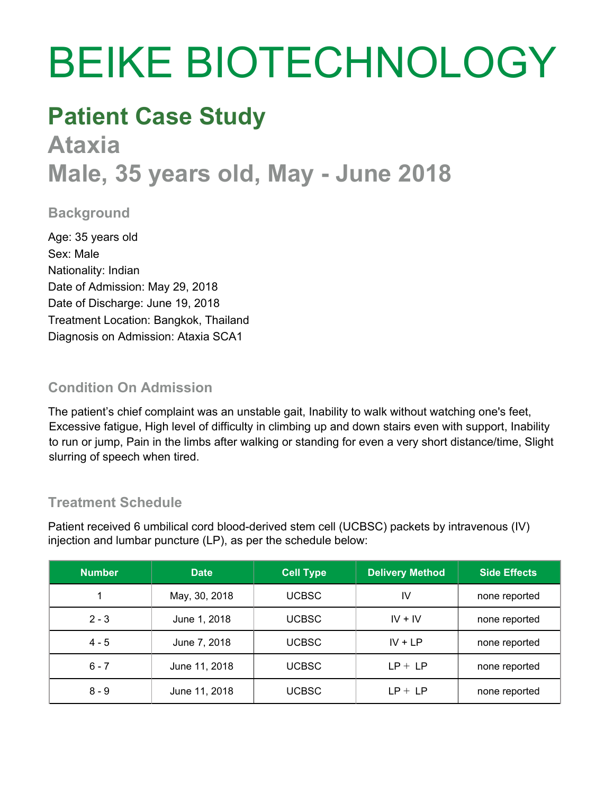# BEIKE BIOTECHNOLOGY

### **Patient Case Study**

## **Ataxia Male, 35 years old, May - June 2018**

#### **Background**

Age: 35 years old Sex: Male Nationality: Indian Date of Admission: May 29, 2018 Date of Discharge: June 19, 2018 Treatment Location: Bangkok, Thailand Diagnosis on Admission: Ataxia SCA1

#### **Condition On Admission**

The patient's chief complaint was an unstable gait, Inability to walk without watching one's feet, Excessive fatigue, High level of difficulty in climbing up and down stairs even with support, Inability to run or jump, Pain in the limbs after walking or standing for even a very short distance/time, Slight slurring of speech when tired.

#### **Treatment Schedule**

Patient received 6 umbilical cord blood-derived stem cell (UCBSC) packets by intravenous (IV) injection and lumbar puncture (LP), as per the schedule below:

| <b>Number</b> | <b>Date</b>   | <b>Cell Type</b> | <b>Delivery Method</b> | <b>Side Effects</b> |
|---------------|---------------|------------------|------------------------|---------------------|
|               | May, 30, 2018 | <b>UCBSC</b>     | IV                     | none reported       |
| $2 - 3$       | June 1, 2018  | <b>UCBSC</b>     | $IV + IV$              | none reported       |
| $4 - 5$       | June 7, 2018  | <b>UCBSC</b>     | $IV + LP$              | none reported       |
| $6 - 7$       | June 11, 2018 | <b>UCBSC</b>     | $LP + LP$              | none reported       |
| $8 - 9$       | June 11, 2018 | <b>UCBSC</b>     | $LP + LP$              | none reported       |